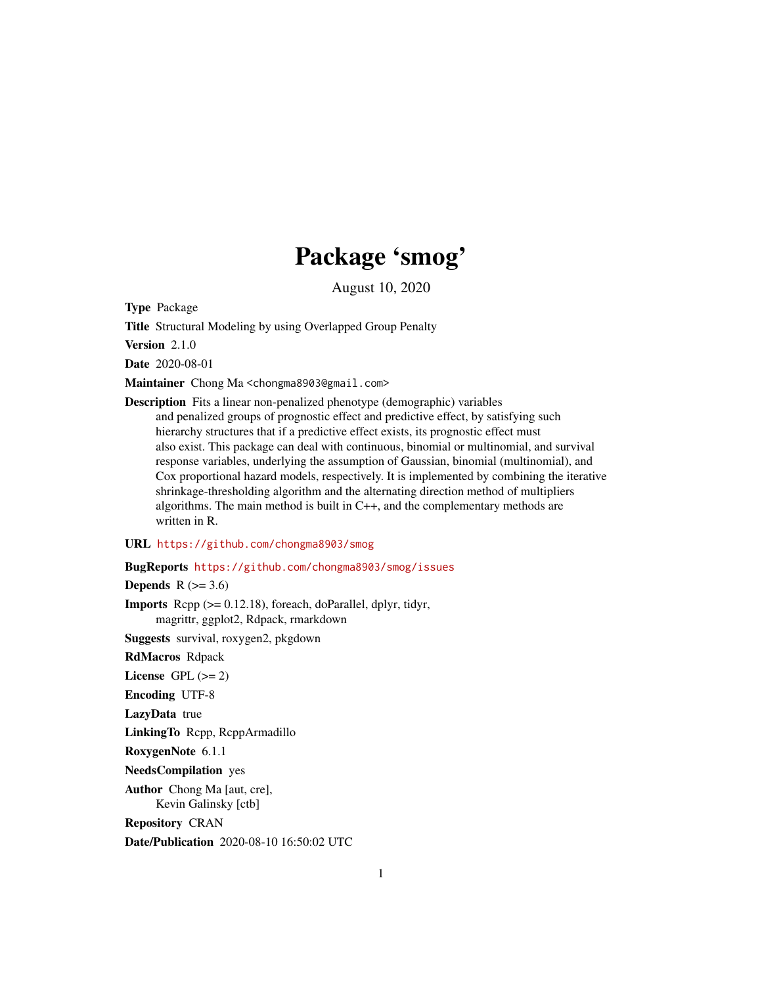# Package 'smog'

August 10, 2020

<span id="page-0-0"></span>Type Package

Title Structural Modeling by using Overlapped Group Penalty

Version 2.1.0

Date 2020-08-01

Maintainer Chong Ma <chongma8903@gmail.com>

Description Fits a linear non-penalized phenotype (demographic) variables and penalized groups of prognostic effect and predictive effect, by satisfying such hierarchy structures that if a predictive effect exists, its prognostic effect must also exist. This package can deal with continuous, binomial or multinomial, and survival response variables, underlying the assumption of Gaussian, binomial (multinomial), and Cox proportional hazard models, respectively. It is implemented by combining the iterative shrinkage-thresholding algorithm and the alternating direction method of multipliers algorithms. The main method is built in C++, and the complementary methods are written in R.

URL <https://github.com/chongma8903/smog>

BugReports <https://github.com/chongma8903/smog/issues>

Depends  $R$  ( $>= 3.6$ )

**Imports** Rcpp  $(>= 0.12.18)$ , foreach, doParallel, dplyr, tidyr, magrittr, ggplot2, Rdpack, rmarkdown

Suggests survival, roxygen2, pkgdown

RdMacros Rdpack

License GPL  $(>= 2)$ 

Encoding UTF-8

LazyData true

LinkingTo Rcpp, RcppArmadillo

RoxygenNote 6.1.1

NeedsCompilation yes

Author Chong Ma [aut, cre], Kevin Galinsky [ctb]

Repository CRAN

Date/Publication 2020-08-10 16:50:02 UTC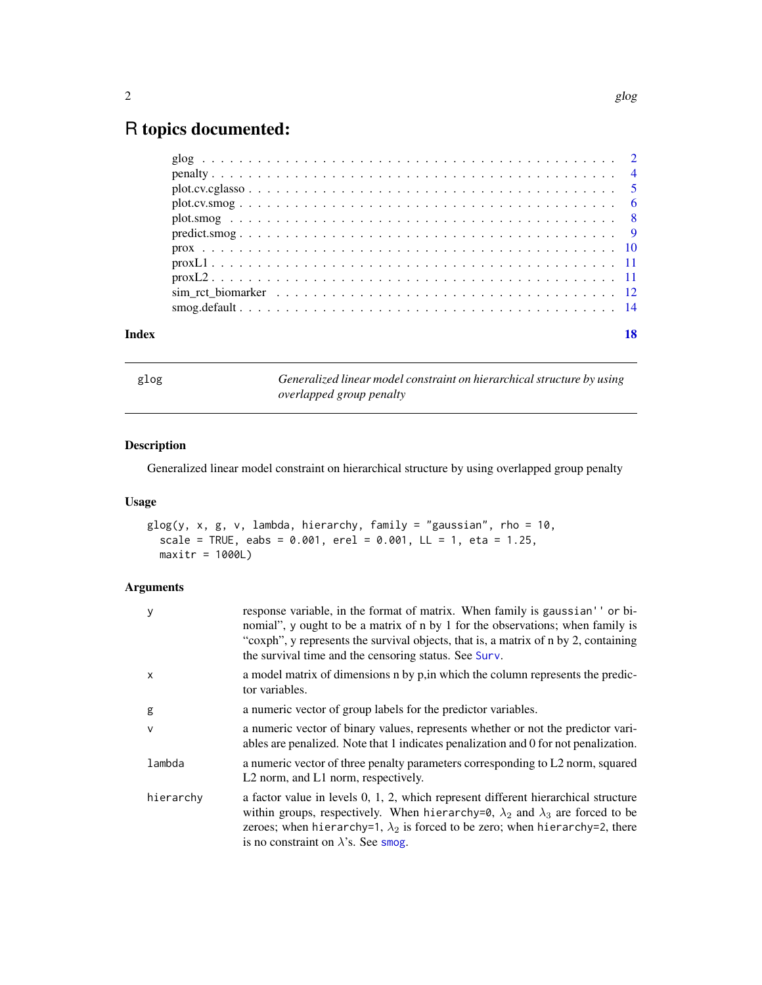# <span id="page-1-0"></span>R topics documented:

| Index |                                                                                                                |  |
|-------|----------------------------------------------------------------------------------------------------------------|--|
|       |                                                                                                                |  |
|       | sim ret biomarker $\ldots \ldots \ldots \ldots \ldots \ldots \ldots \ldots \ldots \ldots \ldots \ldots \ldots$ |  |
|       |                                                                                                                |  |
|       |                                                                                                                |  |
|       |                                                                                                                |  |
|       |                                                                                                                |  |
|       |                                                                                                                |  |
|       |                                                                                                                |  |
|       |                                                                                                                |  |
|       |                                                                                                                |  |
|       |                                                                                                                |  |

glog *Generalized linear model constraint on hierarchical structure by using overlapped group penalty*

# Description

Generalized linear model constraint on hierarchical structure by using overlapped group penalty

# Usage

```
glog(y, x, g, v, lambda, hierarchy, family = "gaussian", rho = 10,
 scale = TRUE, eabs = 0.001, erel = 0.001, LL = 1, eta = 1.25,
 maxitr = 1000L
```

| У         | response variable, in the format of matrix. When family is gaussian' ' or bi-<br>nomial", y ought to be a matrix of n by 1 for the observations; when family is<br>"coxph", y represents the survival objects, that is, a matrix of n by 2, containing<br>the survival time and the censoring status. See Surv.            |
|-----------|----------------------------------------------------------------------------------------------------------------------------------------------------------------------------------------------------------------------------------------------------------------------------------------------------------------------------|
| x         | a model matrix of dimensions n by p, in which the column represents the predic-<br>tor variables.                                                                                                                                                                                                                          |
| g         | a numeric vector of group labels for the predictor variables.                                                                                                                                                                                                                                                              |
| v         | a numeric vector of binary values, represents whether or not the predictor vari-<br>ables are penalized. Note that 1 indicates penalization and 0 for not penalization.                                                                                                                                                    |
| lambda    | a numeric vector of three penalty parameters corresponding to L2 norm, squared<br>L <sub>2</sub> norm, and L <sub>1</sub> norm, respectively.                                                                                                                                                                              |
| hierarchy | a factor value in levels $0, 1, 2$ , which represent different hierarchical structure<br>within groups, respectively. When hierarchy=0, $\lambda_2$ and $\lambda_3$ are forced to be<br>zeroes; when hierarchy=1, $\lambda_2$ is forced to be zero; when hierarchy=2, there<br>is no constraint on $\lambda$ 's. See smog. |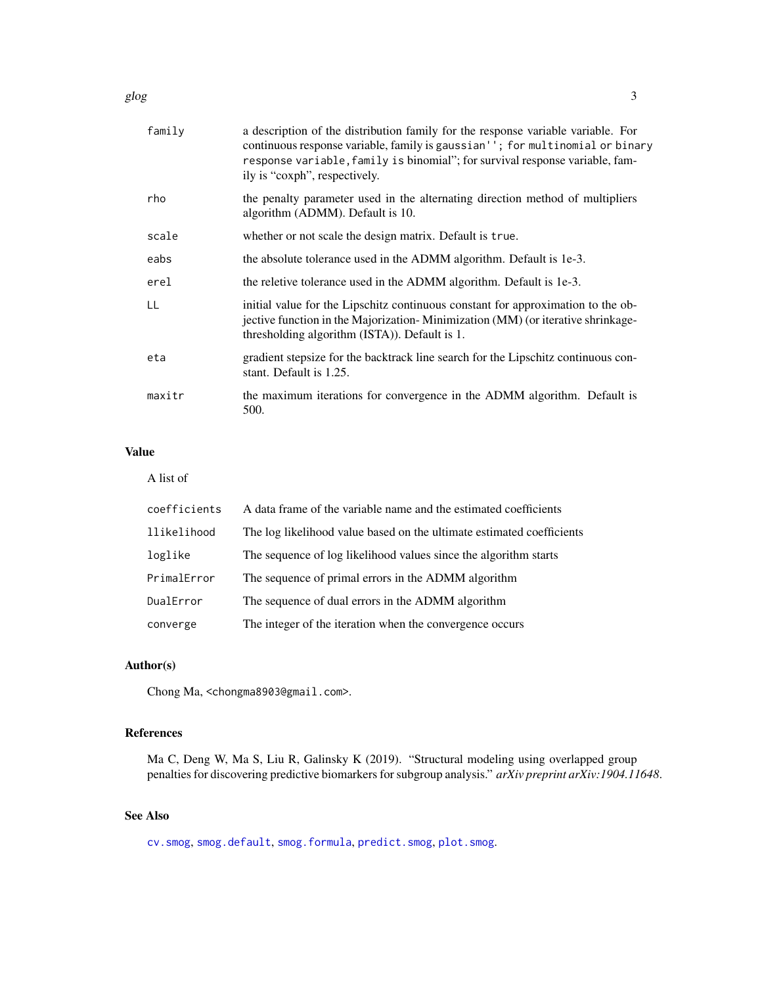<span id="page-2-0"></span>

| family | a description of the distribution family for the response variable variable. For<br>continuous response variable, family is gaussian''; for multinomial or binary<br>response variable, family is binomial"; for survival response variable, fam-<br>ily is "coxph", respectively. |
|--------|------------------------------------------------------------------------------------------------------------------------------------------------------------------------------------------------------------------------------------------------------------------------------------|
| rho    | the penalty parameter used in the alternating direction method of multipliers<br>algorithm (ADMM). Default is 10.                                                                                                                                                                  |
| scale  | whether or not scale the design matrix. Default is true.                                                                                                                                                                                                                           |
| eabs   | the absolute tolerance used in the ADMM algorithm. Default is 1e-3.                                                                                                                                                                                                                |
| erel   | the reletive tolerance used in the ADMM algorithm. Default is 1e-3.                                                                                                                                                                                                                |
| LL     | initial value for the Lipschitz continuous constant for approximation to the ob-<br>jective function in the Majorization-Minimization (MM) (or iterative shrinkage-<br>thresholding algorithm (ISTA)). Default is 1.                                                               |
| eta    | gradient stepsize for the backtrack line search for the Lipschitz continuous con-<br>stant. Default is 1.25.                                                                                                                                                                       |
| maxitr | the maximum iterations for convergence in the ADMM algorithm. Default is<br>500.                                                                                                                                                                                                   |
|        |                                                                                                                                                                                                                                                                                    |

# Value

A list of

| coefficients | A data frame of the variable name and the estimated coefficients      |
|--------------|-----------------------------------------------------------------------|
| llikelihood  | The log likelihood value based on the ultimate estimated coefficients |
| loglike      | The sequence of log likelihood values since the algorithm starts      |
| PrimalError  | The sequence of primal errors in the ADMM algorithm                   |
| DualError    | The sequence of dual errors in the ADMM algorithm                     |
| converge     | The integer of the iteration when the convergence occurs              |

# Author(s)

Chong Ma, <chongma8903@gmail.com>.

# References

Ma C, Deng W, Ma S, Liu R, Galinsky K (2019). "Structural modeling using overlapped group penalties for discovering predictive biomarkers for subgroup analysis." *arXiv preprint arXiv:1904.11648*.

# See Also

[cv.smog](#page-0-0), [smog.default](#page-13-1), [smog.formula](#page-13-2), [predict.smog](#page-8-1), [plot.smog](#page-7-1).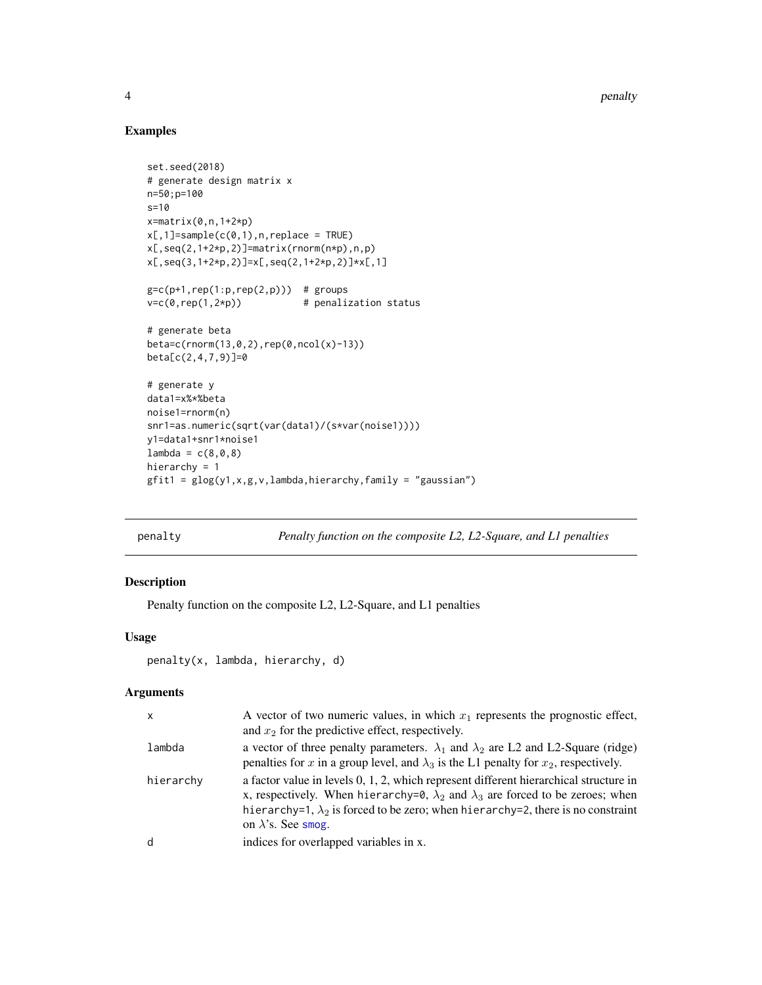4 penalty and the contract of the contract of the contract of the contract of the contract of the contract of the contract of the contract of the contract of the contract of the contract of the contract of the contract of

# Examples

```
set.seed(2018)
# generate design matrix x
n=50;p=100
s=10
x=matrix(0,n,1+2*p)
x[,1]=sample(c(0,1),n,replace = TRUE)x[,seq(2,1+2*p,2)]=matrix(rnorm(n*p),n,p)x[,seq(3, 1+2*p, 2)]=x[,seq(2, 1+2*p, 2)]*x[, 1]gc = c(p+1, rep(1:p,rep(2,p))) # groupsv=c(\emptyset, rep(1,2*p)) # penalization status
# generate beta
beta=c(rnorm(13,0,2),rep(0,ncol(x)-13))
beta[c(2,4,7,9)]=0
# generate y
data1=x%*%beta
noise1=rnorm(n)
snr1=as.numeric(sqrt(var(data1)/(s*var(noise1))))
y1=data1+snr1*noise1
lambda = c(8, 0, 8)hierarchy = 1
gfit1 = glog(y1, x, g, v, lambda, hierarchy, family = "gaussian")
```
penalty *Penalty function on the composite L2, L2-Square, and L1 penalties*

# Description

Penalty function on the composite L2, L2-Square, and L1 penalties

# Usage

```
penalty(x, lambda, hierarchy, d)
```

| X         | A vector of two numeric values, in which $x_1$ represents the prognostic effect,<br>and $x_2$ for the predictive effect, respectively.                                                                                                                                                                         |
|-----------|----------------------------------------------------------------------------------------------------------------------------------------------------------------------------------------------------------------------------------------------------------------------------------------------------------------|
| lambda    | a vector of three penalty parameters. $\lambda_1$ and $\lambda_2$ are L2 and L2-Square (ridge)<br>penalties for x in a group level, and $\lambda_3$ is the L1 penalty for $x_2$ , respectively.                                                                                                                |
| hierarchy | a factor value in levels 0, 1, 2, which represent different hierarchical structure in<br>x, respectively. When hierarchy=0, $\lambda_2$ and $\lambda_3$ are forced to be zeroes; when<br>hierarchy=1, $\lambda_2$ is forced to be zero; when hierarchy=2, there is no constraint<br>on $\lambda$ 's. See smog. |
| d         | indices for overlapped variables in x.                                                                                                                                                                                                                                                                         |

<span id="page-3-0"></span>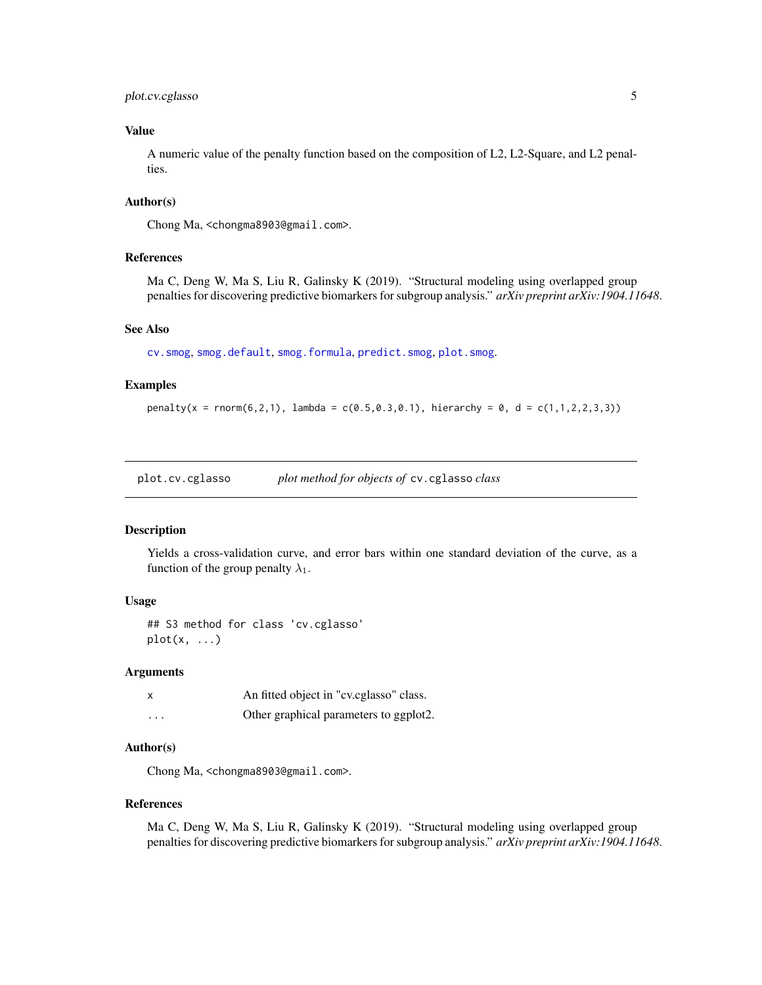# <span id="page-4-0"></span>plot.cv.cglasso 5

# Value

A numeric value of the penalty function based on the composition of L2, L2-Square, and L2 penalties.

### Author(s)

Chong Ma, <chongma8903@gmail.com>.

#### References

Ma C, Deng W, Ma S, Liu R, Galinsky K (2019). "Structural modeling using overlapped group penalties for discovering predictive biomarkers for subgroup analysis." *arXiv preprint arXiv:1904.11648*.

#### See Also

[cv.smog](#page-0-0), [smog.default](#page-13-1), [smog.formula](#page-13-2), [predict.smog](#page-8-1), [plot.smog](#page-7-1).

#### Examples

 $penalty(x = rnorm(6, 2, 1),$  lambda =  $c(0.5, 0.3, 0.1),$  hierarchy = 0, d =  $c(1, 1, 2, 2, 3, 3)$ )

plot.cv.cglasso *plot method for objects of* cv.cglasso *class*

#### Description

Yields a cross-validation curve, and error bars within one standard deviation of the curve, as a function of the group penalty  $\lambda_1$ .

# Usage

## S3 method for class 'cv.cglasso'  $plot(x, \ldots)$ 

#### Arguments

| $\boldsymbol{\mathsf{x}}$ | An fitted object in "cv.cglasso" class. |
|---------------------------|-----------------------------------------|
| $\cdots$                  | Other graphical parameters to ggplot2.  |

### Author(s)

Chong Ma, <chongma8903@gmail.com>.

#### References

Ma C, Deng W, Ma S, Liu R, Galinsky K (2019). "Structural modeling using overlapped group penalties for discovering predictive biomarkers for subgroup analysis." *arXiv preprint arXiv:1904.11648*.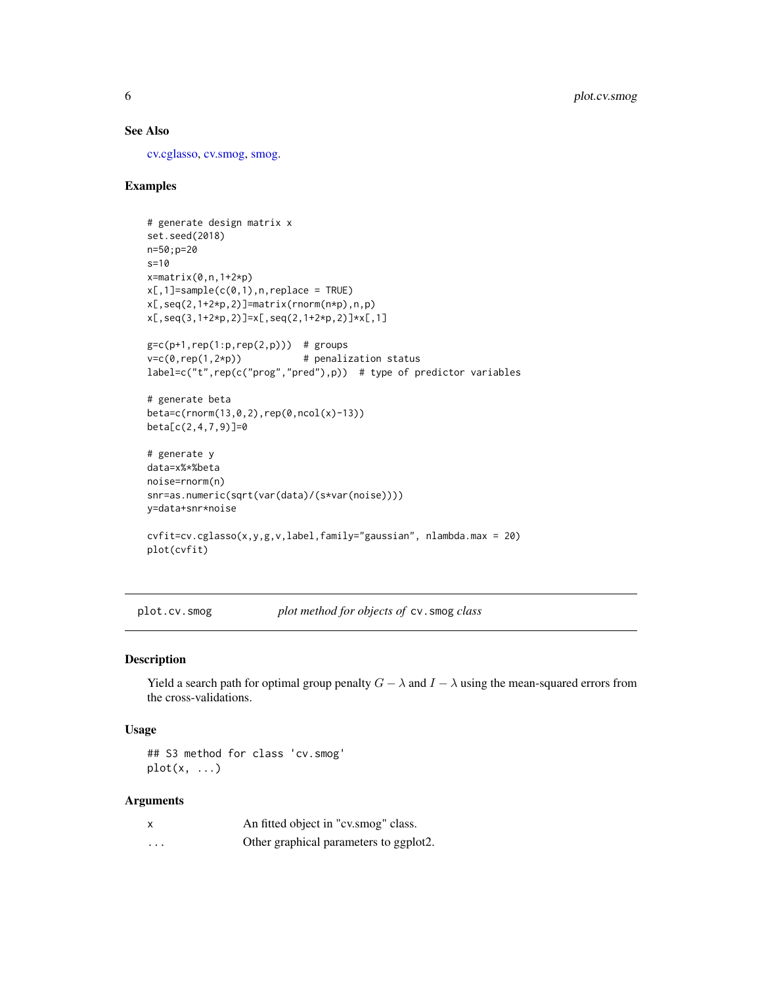# <span id="page-5-0"></span>See Also

[cv.cglasso,](#page-0-0) [cv.smog,](#page-0-0) [smog.](#page-0-0)

# Examples

```
# generate design matrix x
set.seed(2018)
n=50;p=20
s=10
x=matrix(0,n,1+2*p)
x[,1]=sample(c(0,1),n,replace = TRUE)x[,seq(2,1+2*p,2)]=matrix(rnorm(n*p),n,p)x[,seq(3,1+2*p,2)]=x[,seq(2,1+2*p,2)]*x[,1]gc = c(p+1, rep(1:p,rep(2,p))) # groupsv=c(\emptyset, rep(1,2*p)) # penalization status
label=c("t",rep(c("prog","pred"),p)) # type of predictor variables
# generate beta
beta=c(rnorm(13,0,2),rep(0,ncol(x)-13))
beta[c(2,4,7,9)]=0# generate y
data=x%*%beta
noise=rnorm(n)
snr=as.numeric(sqrt(var(data)/(s*var(noise))))
y=data+snr*noise
cvfit=cv.cglasso(x,y,g,v,label,family="gaussian", nlambda.max = 20)
plot(cvfit)
```
plot.cv.smog *plot method for objects of* cv.smog *class*

#### Description

Yield a search path for optimal group penalty  $G - \lambda$  and  $I - \lambda$  using the mean-squared errors from the cross-validations.

#### Usage

## S3 method for class 'cv.smog'  $plot(x, \ldots)$ 

| X        | An fitted object in "cv.smog" class.   |
|----------|----------------------------------------|
| $\cdots$ | Other graphical parameters to ggplot2. |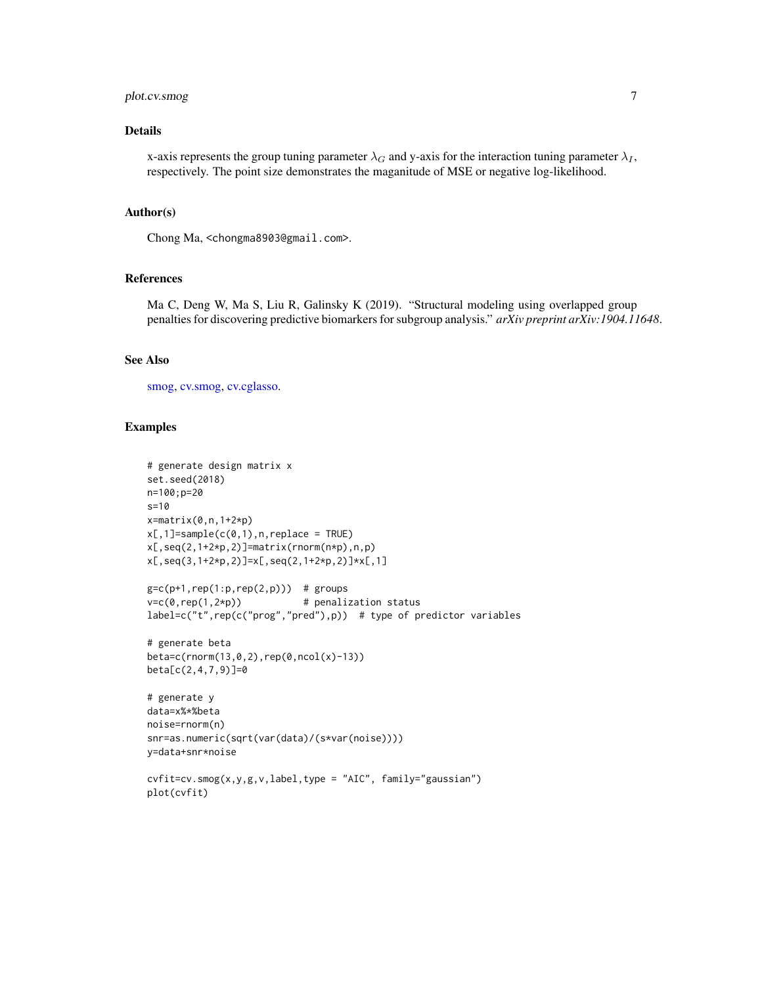# <span id="page-6-0"></span>plot.cv.smog 7

# Details

x-axis represents the group tuning parameter  $\lambda_G$  and y-axis for the interaction tuning parameter  $\lambda_I$ , respectively. The point size demonstrates the maganitude of MSE or negative log-likelihood.

#### Author(s)

Chong Ma, <chongma8903@gmail.com>.

#### References

Ma C, Deng W, Ma S, Liu R, Galinsky K (2019). "Structural modeling using overlapped group penalties for discovering predictive biomarkers for subgroup analysis." *arXiv preprint arXiv:1904.11648*.

#### See Also

[smog,](#page-0-0) [cv.smog,](#page-0-0) [cv.cglasso.](#page-0-0)

```
# generate design matrix x
set.seed(2018)
n=100;p=20
s=10
x=matrix(0,n,1+2*p)
x[,1]=sample(c(0,1),n,replace = TRUE)x[,seq(2,1+2*p,2)]=matrix(rnorm(n*p),n,p)
x[,seq(3,1+2*p,2)]=x[,seq(2,1+2*p,2)]*x[,1]
g = c(p+1, rep(1:p, rep(2,p))) # groups
v=c(\theta, rep(1,2*p)) # penalization status
label=c("t",rep(c("prog","pred"),p)) # type of predictor variables
# generate beta
beta=c(rnorm(13,0,2),rep(0,ncol(x)-13))
beta[c(2,4,7,9)]=0
# generate y
data=x%*%beta
noise=rnorm(n)
snr=as.numeric(sqrt(var(data)/(s*var(noise))))
y=data+snr*noise
cvfit=cv.smog(x,y,g,v,label,type = "AIC", family="gaussian")
plot(cvfit)
```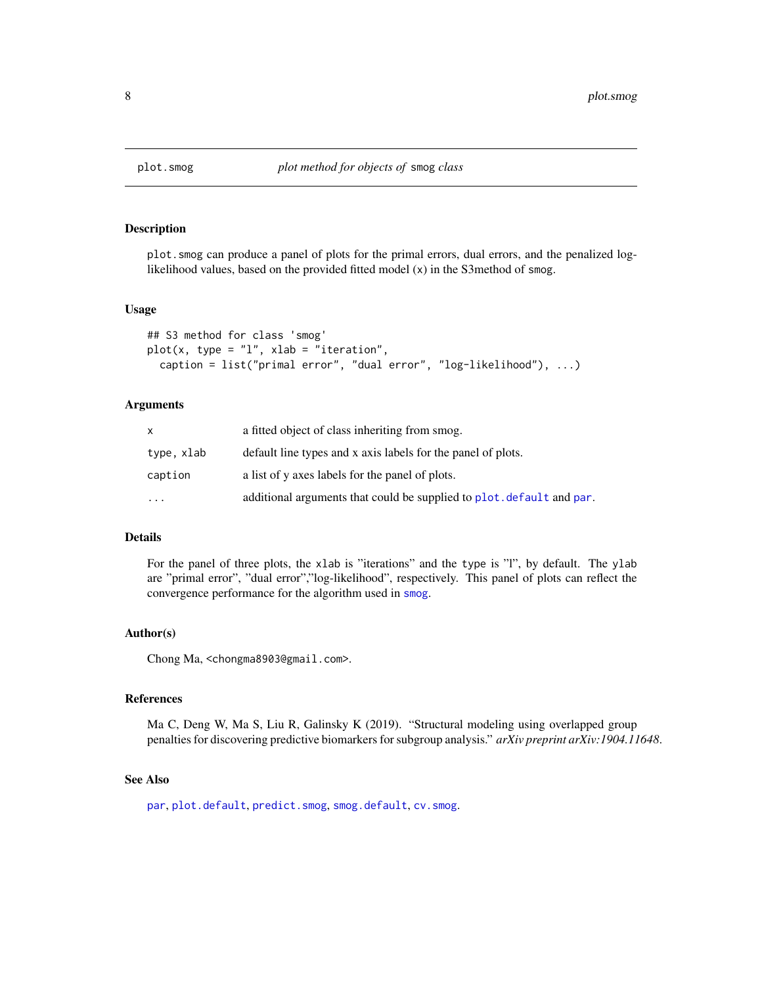<span id="page-7-1"></span><span id="page-7-0"></span>

plot.smog can produce a panel of plots for the primal errors, dual errors, and the penalized loglikelihood values, based on the provided fitted model (x) in the S3method of smog.

#### Usage

```
## S3 method for class 'smog'
plot(x, type = "l", xlab = "iteration",caption = list("primal error", "dual error", "log-likelihood"), ...)
```
# Arguments

|            | a fitted object of class inheriting from smog.                        |
|------------|-----------------------------------------------------------------------|
| type, xlab | default line types and x axis labels for the panel of plots.          |
| caption    | a list of y axes labels for the panel of plots.                       |
| $\ddotsc$  | additional arguments that could be supplied to plot. default and par. |

#### Details

For the panel of three plots, the xlab is "iterations" and the type is "l", by default. The ylab are "primal error", "dual error","log-likelihood", respectively. This panel of plots can reflect the convergence performance for the algorithm used in [smog](#page-0-0).

#### Author(s)

Chong Ma, <chongma8903@gmail.com>.

#### References

Ma C, Deng W, Ma S, Liu R, Galinsky K (2019). "Structural modeling using overlapped group penalties for discovering predictive biomarkers for subgroup analysis." *arXiv preprint arXiv:1904.11648*.

# See Also

[par](#page-0-0), [plot.default](#page-0-0), [predict.smog](#page-8-1), [smog.default](#page-13-1), [cv.smog](#page-0-0).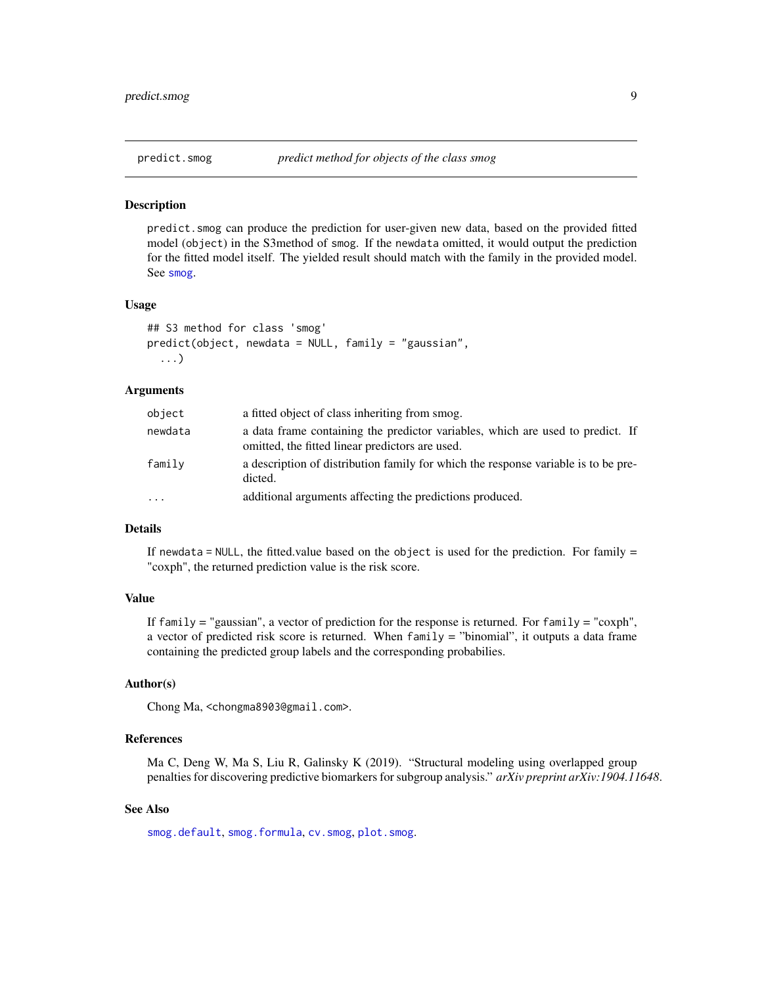<span id="page-8-1"></span><span id="page-8-0"></span>

predict.smog can produce the prediction for user-given new data, based on the provided fitted model (object) in the S3method of smog. If the newdata omitted, it would output the prediction for the fitted model itself. The yielded result should match with the family in the provided model. See [smog](#page-0-0).

#### Usage

```
## S3 method for class 'smog'
predict(object, newdata = NULL, family = "gaussian",
  ...)
```
# Arguments

| object  | a fitted object of class inheriting from smog.                                                                                    |
|---------|-----------------------------------------------------------------------------------------------------------------------------------|
| newdata | a data frame containing the predictor variables, which are used to predict. If<br>omitted, the fitted linear predictors are used. |
| family  | a description of distribution family for which the response variable is to be pre-<br>dicted.                                     |
| .       | additional arguments affecting the predictions produced.                                                                          |

#### Details

If newdata = NULL, the fitted.value based on the object is used for the prediction. For family  $=$ "coxph", the returned prediction value is the risk score.

#### Value

If family  $=$  "gaussian", a vector of prediction for the response is returned. For family  $=$  "coxph", a vector of predicted risk score is returned. When family = "binomial", it outputs a data frame containing the predicted group labels and the corresponding probabilies.

# Author(s)

Chong Ma, <chongma8903@gmail.com>.

# References

Ma C, Deng W, Ma S, Liu R, Galinsky K (2019). "Structural modeling using overlapped group penalties for discovering predictive biomarkers for subgroup analysis." *arXiv preprint arXiv:1904.11648*.

#### See Also

[smog.default](#page-13-1), [smog.formula](#page-13-2), [cv.smog](#page-0-0), [plot.smog](#page-7-1).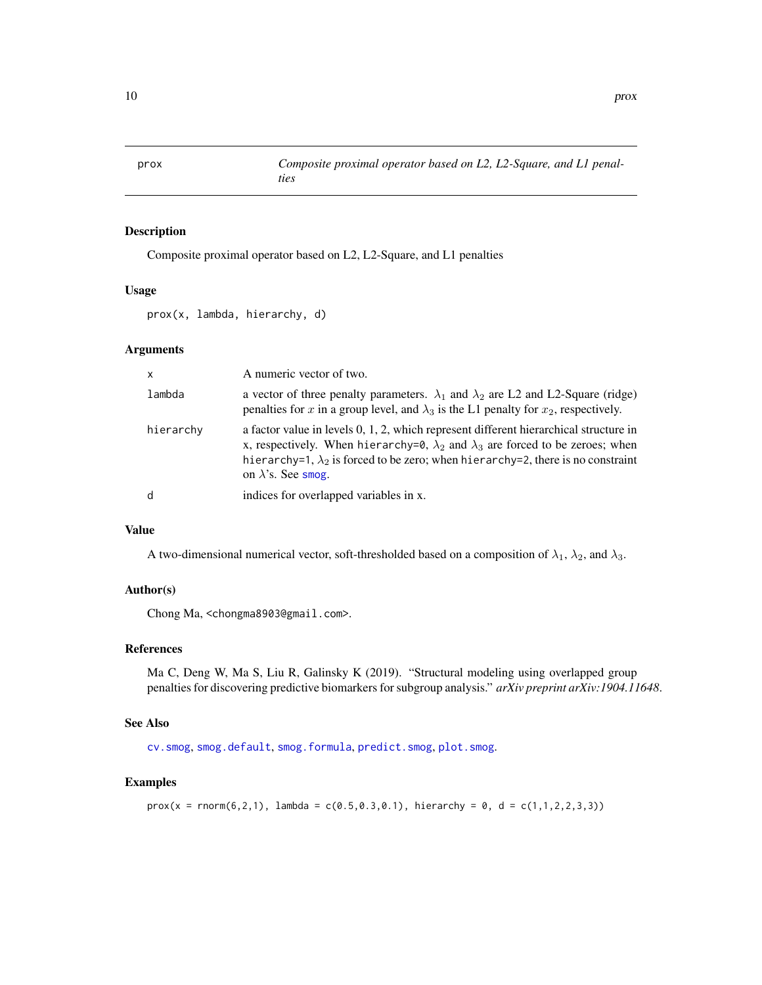<span id="page-9-0"></span>

Composite proximal operator based on L2, L2-Square, and L1 penalties

#### Usage

prox(x, lambda, hierarchy, d)

# Arguments

| $\mathsf{x}$ | A numeric vector of two.                                                                                                                                                                                                                                                                                       |
|--------------|----------------------------------------------------------------------------------------------------------------------------------------------------------------------------------------------------------------------------------------------------------------------------------------------------------------|
| lambda       | a vector of three penalty parameters. $\lambda_1$ and $\lambda_2$ are L2 and L2-Square (ridge)<br>penalties for x in a group level, and $\lambda_3$ is the L1 penalty for $x_2$ , respectively.                                                                                                                |
| hierarchy    | a factor value in levels 0, 1, 2, which represent different hierarchical structure in<br>x, respectively. When hierarchy=0, $\lambda_2$ and $\lambda_3$ are forced to be zeroes; when<br>hierarchy=1, $\lambda_2$ is forced to be zero; when hierarchy=2, there is no constraint<br>on $\lambda$ 's. See smog. |
| d            | indices for overlapped variables in x.                                                                                                                                                                                                                                                                         |

# Value

A two-dimensional numerical vector, soft-thresholded based on a composition of  $\lambda_1$ ,  $\lambda_2$ , and  $\lambda_3$ .

# Author(s)

Chong Ma, <chongma8903@gmail.com>.

#### References

Ma C, Deng W, Ma S, Liu R, Galinsky K (2019). "Structural modeling using overlapped group penalties for discovering predictive biomarkers for subgroup analysis." *arXiv preprint arXiv:1904.11648*.

# See Also

[cv.smog](#page-0-0), [smog.default](#page-13-1), [smog.formula](#page-13-2), [predict.smog](#page-8-1), [plot.smog](#page-7-1).

```
prox(x = rnorm(6, 2, 1), lambda = c(0.5, 0.3, 0.1), hierarchy = 0, d = c(1, 1, 2, 2, 3, 3))
```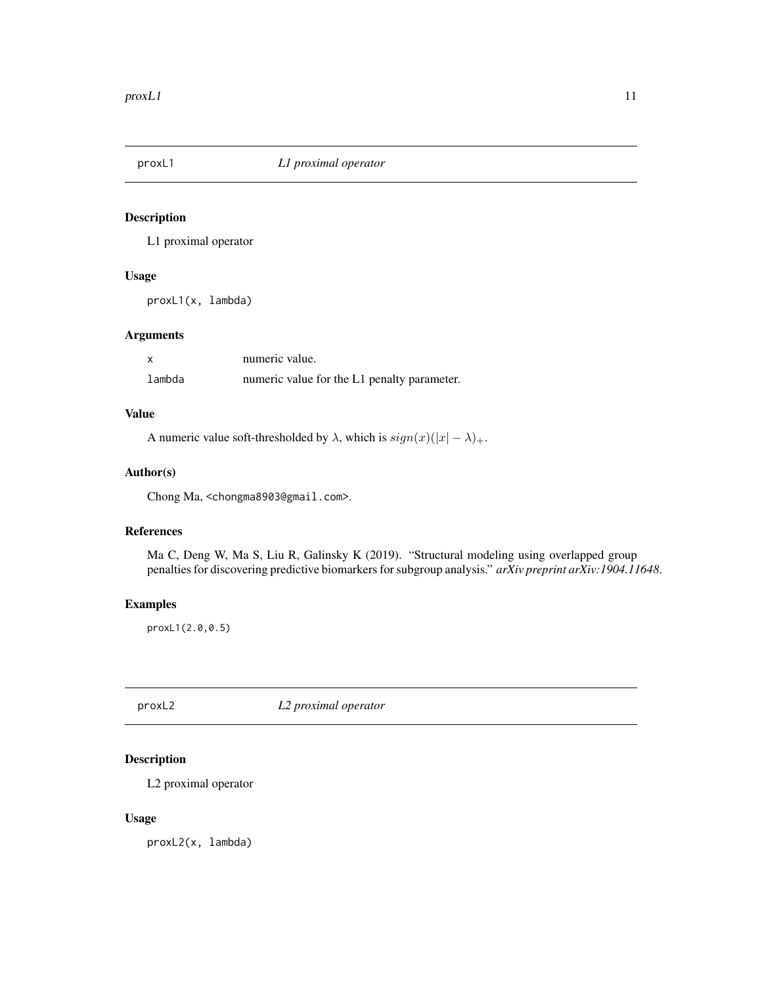<span id="page-10-0"></span>

L1 proximal operator

# Usage

proxL1(x, lambda)

# Arguments

| $\boldsymbol{\mathsf{x}}$ | numeric value.                              |
|---------------------------|---------------------------------------------|
| lambda                    | numeric value for the L1 penalty parameter. |

# Value

A numeric value soft-thresholded by  $\lambda$ , which is  $sign(x)(|x| - \lambda)_{+}$ .

# Author(s)

Chong Ma, <chongma8903@gmail.com>.

#### References

Ma C, Deng W, Ma S, Liu R, Galinsky K (2019). "Structural modeling using overlapped group penalties for discovering predictive biomarkers for subgroup analysis." *arXiv preprint arXiv:1904.11648*.

# Examples

proxL1(2.0,0.5)

proxL2 *L2 proximal operator*

# Description

L2 proximal operator

# Usage

proxL2(x, lambda)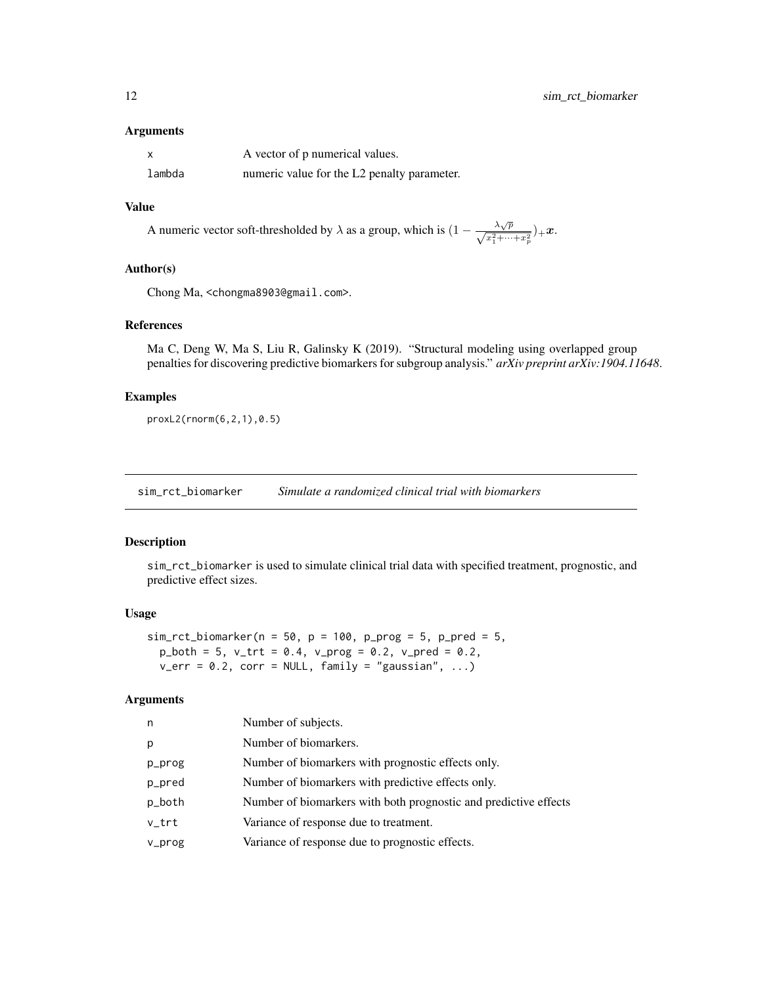#### <span id="page-11-0"></span>Arguments

| X      | A vector of p numerical values.             |
|--------|---------------------------------------------|
| lambda | numeric value for the L2 penalty parameter. |

# Value

A numeric vector soft-thresholded by  $\lambda$  as a group, which is  $(1 - \frac{\lambda \sqrt{p}}{\sqrt{x_1^2 + \dots + x_p^2}})_{+}x$ .

#### Author(s)

Chong Ma, <chongma8903@gmail.com>.

# References

Ma C, Deng W, Ma S, Liu R, Galinsky K (2019). "Structural modeling using overlapped group penalties for discovering predictive biomarkers for subgroup analysis." *arXiv preprint arXiv:1904.11648*.

# Examples

proxL2(rnorm(6,2,1),0.5)

sim\_rct\_biomarker *Simulate a randomized clinical trial with biomarkers*

# Description

sim\_rct\_biomarker is used to simulate clinical trial data with specified treatment, prognostic, and predictive effect sizes.

#### Usage

```
sim\_rct\_biomarker(n = 50, p = 100, p\_prog = 5, p\_pred = 5,p_{\text{both}} = 5, v_{\text{at}} = 0.4, v_{\text{pro}} = 0.2, v_{\text{pred}} = 0.2,
  v_error = 0.2, corr = NULL, family = "gaussian", ...)
```

| n      | Number of subjects.                                              |
|--------|------------------------------------------------------------------|
| p      | Number of biomarkers.                                            |
| p_prog | Number of biomarkers with prognostic effects only.               |
| p_pred | Number of biomarkers with predictive effects only.               |
| p_both | Number of biomarkers with both prognostic and predictive effects |
| v_trt  | Variance of response due to treatment.                           |
| v_prog | Variance of response due to prognostic effects.                  |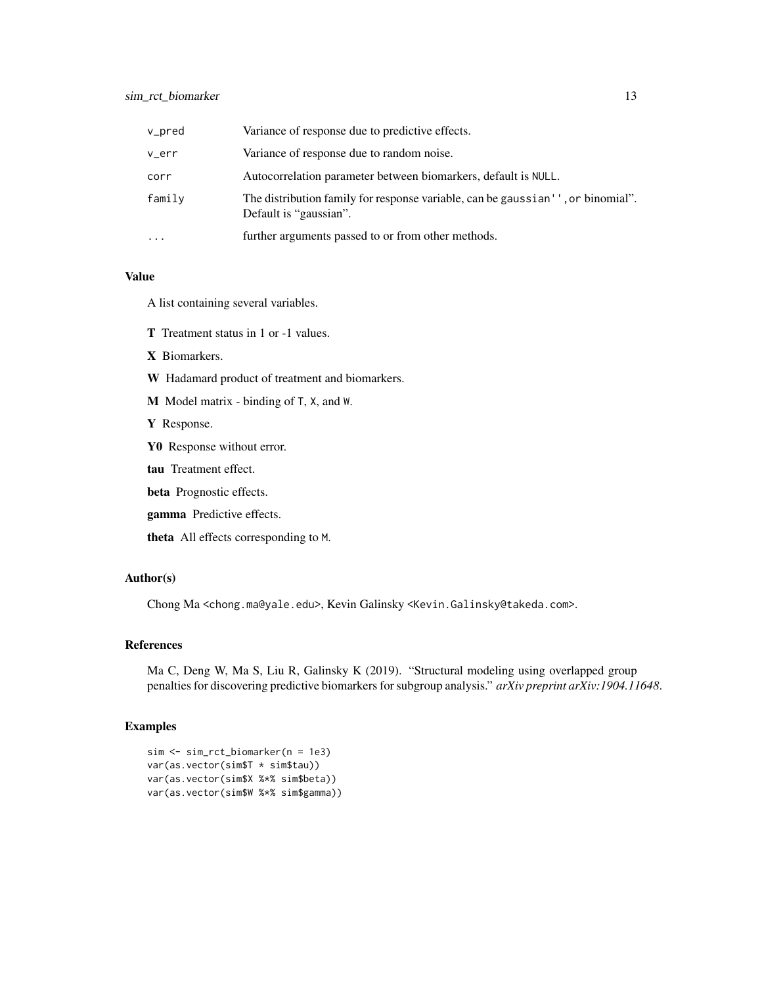# sim\_rct\_biomarker 13

| v_pred    | Variance of response due to predictive effects.                                                           |
|-----------|-----------------------------------------------------------------------------------------------------------|
| v_err     | Variance of response due to random noise.                                                                 |
| corr      | Autocorrelation parameter between biomarkers, default is NULL.                                            |
| family    | The distribution family for response variable, can be gaussian'', or binomial".<br>Default is "gaussian". |
| $\ddotsc$ | further arguments passed to or from other methods.                                                        |

#### Value

A list containing several variables.

- T Treatment status in 1 or -1 values.
- X Biomarkers.
- W Hadamard product of treatment and biomarkers.
- M Model matrix binding of T, X, and W.
- Y Response.
- Y0 Response without error.
- tau Treatment effect.
- beta Prognostic effects.
- gamma Predictive effects.
- theta All effects corresponding to M.

#### Author(s)

Chong Ma <chong.ma@yale.edu>, Kevin Galinsky <Kevin.Galinsky@takeda.com>.

# References

Ma C, Deng W, Ma S, Liu R, Galinsky K (2019). "Structural modeling using overlapped group penalties for discovering predictive biomarkers for subgroup analysis." *arXiv preprint arXiv:1904.11648*.

```
sim <- sim_rct_biomarker(n = 1e3)
var(as.vector(sim$T * sim$tau))
var(as.vector(sim$X %*% sim$beta))
var(as.vector(sim$W %*% sim$gamma))
```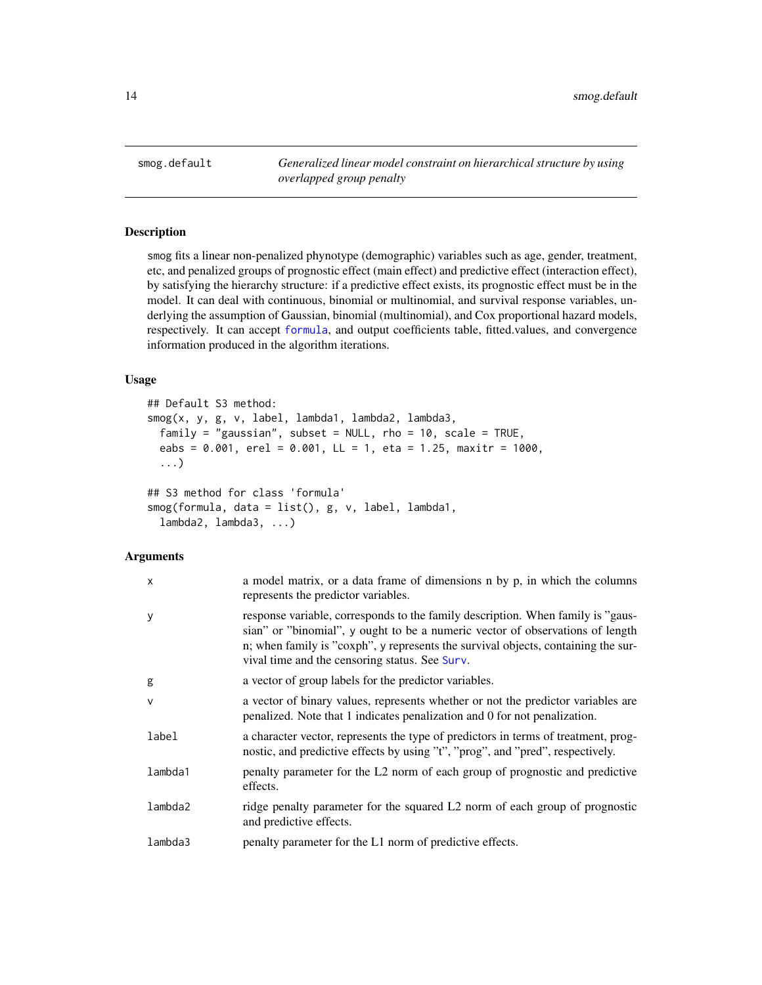<span id="page-13-1"></span><span id="page-13-0"></span>smog.default *Generalized linear model constraint on hierarchical structure by using overlapped group penalty*

# <span id="page-13-2"></span>Description

smog fits a linear non-penalized phynotype (demographic) variables such as age, gender, treatment, etc, and penalized groups of prognostic effect (main effect) and predictive effect (interaction effect), by satisfying the hierarchy structure: if a predictive effect exists, its prognostic effect must be in the model. It can deal with continuous, binomial or multinomial, and survival response variables, underlying the assumption of Gaussian, binomial (multinomial), and Cox proportional hazard models, respectively. It can accept [formula](#page-0-0), and output coefficients table, fitted.values, and convergence information produced in the algorithm iterations.

# Usage

```
## Default S3 method:
smog(x, y, g, v, label, lambda1, lambda2, lambda3,
  family = "gaussian", subset = NULL, rho = 10, scale = TRUE,
 eabs = 0.001, erel = 0.001, LL = 1, eta = 1.25, maxitr = 1000,
  ...)
## S3 method for class 'formula'
smog(formula, data = list(), g, v, label, lambda1,
  lambda2, lambda3, ...)
```

| X       | a model matrix, or a data frame of dimensions n by p, in which the columns<br>represents the predictor variables.                                                                                                                                                                                       |
|---------|---------------------------------------------------------------------------------------------------------------------------------------------------------------------------------------------------------------------------------------------------------------------------------------------------------|
| ٧       | response variable, corresponds to the family description. When family is "gaus-<br>sian" or "binomial", y ought to be a numeric vector of observations of length<br>n; when family is "coxph", y represents the survival objects, containing the sur-<br>vival time and the censoring status. See Surv. |
| g       | a vector of group labels for the predictor variables.                                                                                                                                                                                                                                                   |
| V       | a vector of binary values, represents whether or not the predictor variables are<br>penalized. Note that 1 indicates penalization and 0 for not penalization.                                                                                                                                           |
| label   | a character vector, represents the type of predictors in terms of treatment, prog-<br>nostic, and predictive effects by using "t", "prog", and "pred", respectively.                                                                                                                                    |
| lambda1 | penalty parameter for the L2 norm of each group of prognostic and predictive<br>effects.                                                                                                                                                                                                                |
| lambda2 | ridge penalty parameter for the squared L2 norm of each group of prognostic<br>and predictive effects.                                                                                                                                                                                                  |
| lambda3 | penalty parameter for the L1 norm of predictive effects.                                                                                                                                                                                                                                                |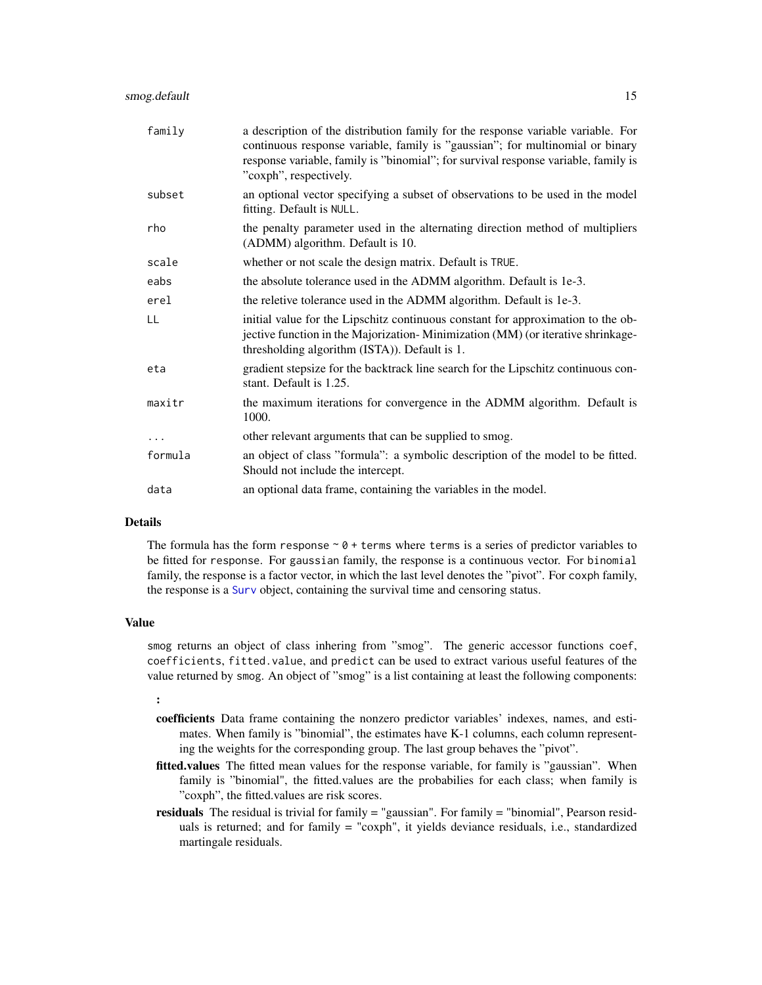<span id="page-14-0"></span>

| family   | a description of the distribution family for the response variable variable. For<br>continuous response variable, family is "gaussian"; for multinomial or binary<br>response variable, family is "binomial"; for survival response variable, family is<br>"coxph", respectively. |
|----------|-----------------------------------------------------------------------------------------------------------------------------------------------------------------------------------------------------------------------------------------------------------------------------------|
| subset   | an optional vector specifying a subset of observations to be used in the model<br>fitting. Default is NULL.                                                                                                                                                                       |
| rho      | the penalty parameter used in the alternating direction method of multipliers<br>(ADMM) algorithm. Default is 10.                                                                                                                                                                 |
| scale    | whether or not scale the design matrix. Default is TRUE.                                                                                                                                                                                                                          |
| eabs     | the absolute tolerance used in the ADMM algorithm. Default is 1e-3.                                                                                                                                                                                                               |
| erel     | the reletive tolerance used in the ADMM algorithm. Default is 1e-3.                                                                                                                                                                                                               |
| LL       | initial value for the Lipschitz continuous constant for approximation to the ob-<br>jective function in the Majorization-Minimization (MM) (or iterative shrinkage-<br>thresholding algorithm (ISTA)). Default is 1.                                                              |
| eta      | gradient stepsize for the backtrack line search for the Lipschitz continuous con-<br>stant. Default is 1.25.                                                                                                                                                                      |
| maxitr   | the maximum iterations for convergence in the ADMM algorithm. Default is<br>1000.                                                                                                                                                                                                 |
| $\cdots$ | other relevant arguments that can be supplied to smog.                                                                                                                                                                                                                            |
| formula  | an object of class "formula": a symbolic description of the model to be fitted.<br>Should not include the intercept.                                                                                                                                                              |
| data     | an optional data frame, containing the variables in the model.                                                                                                                                                                                                                    |

#### Details

The formula has the form response  $\sim \theta$  + terms where terms is a series of predictor variables to be fitted for response. For gaussian family, the response is a continuous vector. For binomial family, the response is a factor vector, in which the last level denotes the "pivot". For coxph family, the response is a [Surv](#page-0-0) object, containing the survival time and censoring status.

# Value

smog returns an object of class inhering from "smog". The generic accessor functions coef, coefficients, fitted.value, and predict can be used to extract various useful features of the value returned by smog. An object of "smog" is a list containing at least the following components:

#### :

- coefficients Data frame containing the nonzero predictor variables' indexes, names, and estimates. When family is "binomial", the estimates have K-1 columns, each column representing the weights for the corresponding group. The last group behaves the "pivot".
- fitted.values The fitted mean values for the response variable, for family is "gaussian". When family is "binomial", the fitted.values are the probabilies for each class; when family is "coxph", the fitted.values are risk scores.
- residuals The residual is trivial for family = "gaussian". For family = "binomial", Pearson residuals is returned; and for family = "coxph", it yields deviance residuals, i.e., standardized martingale residuals.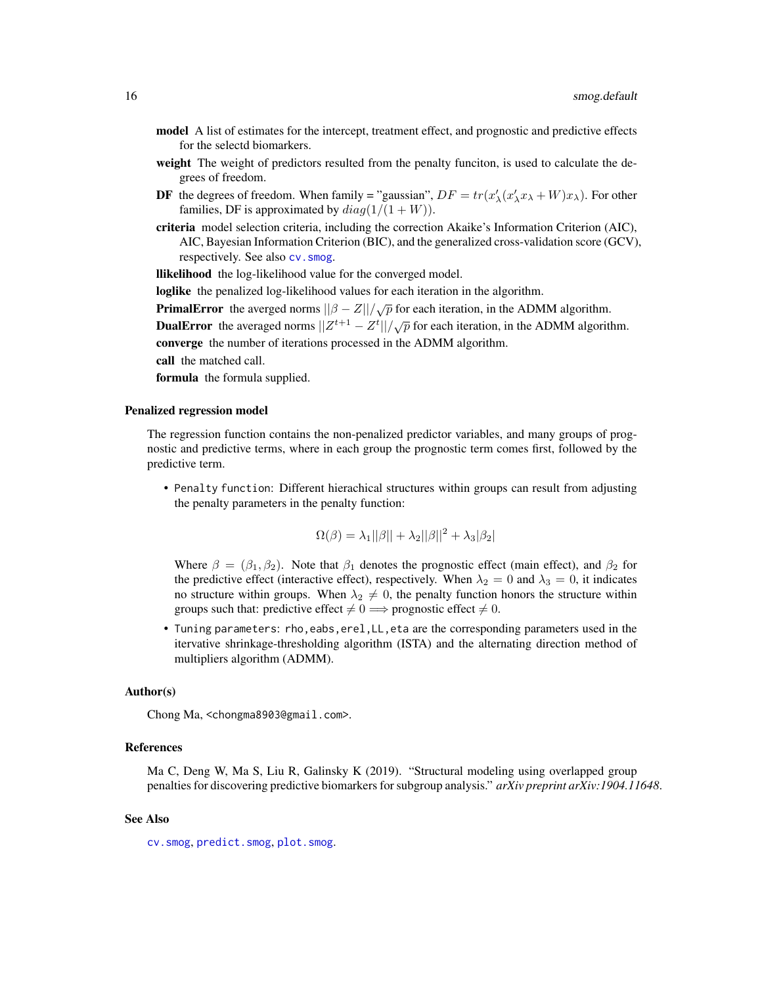- <span id="page-15-0"></span>model A list of estimates for the intercept, treatment effect, and prognostic and predictive effects for the selectd biomarkers.
- weight The weight of predictors resulted from the penalty funciton, is used to calculate the degrees of freedom.
- **DF** the degrees of freedom. When family = "gaussian",  $DF = tr(x'_{\lambda}(x'_{\lambda}x_{\lambda} + W)x_{\lambda})$ . For other families, DF is approximated by  $diag(1/(1+W))$ .
- criteria model selection criteria, including the correction Akaike's Information Criterion (AIC), AIC, Bayesian Information Criterion (BIC), and the generalized cross-validation score (GCV), respectively. See also [cv.smog](#page-0-0).

llikelihood the log-likelihood value for the converged model.

loglike the penalized log-likelihood values for each iteration in the algorithm.

**PrimalError** the averged norms  $||\beta - Z||/\sqrt{p}$  for each iteration, in the ADMM algorithm.

DualError the averaged norms  $||Z^{t+1} - Z^t|| / \sqrt{p}$  for each iteration, in the ADMM algorithm. converge the number of iterations processed in the ADMM algorithm.

call the matched call.

formula the formula supplied.

#### Penalized regression model

The regression function contains the non-penalized predictor variables, and many groups of prognostic and predictive terms, where in each group the prognostic term comes first, followed by the predictive term.

• Penalty function: Different hierachical structures within groups can result from adjusting the penalty parameters in the penalty function:

$$
\Omega(\beta) = \lambda_1 ||\beta|| + \lambda_2 ||\beta||^2 + \lambda_3 |\beta_2|
$$

Where  $\beta = (\beta_1, \beta_2)$ . Note that  $\beta_1$  denotes the prognostic effect (main effect), and  $\beta_2$  for the predictive effect (interactive effect), respectively. When  $\lambda_2 = 0$  and  $\lambda_3 = 0$ , it indicates no structure within groups. When  $\lambda_2 \neq 0$ , the penalty function honors the structure within groups such that: predictive effect  $\neq 0 \implies$  prognostic effect  $\neq 0$ .

• Tuning parameters: rho,eabs,erel,LL,eta are the corresponding parameters used in the itervative shrinkage-thresholding algorithm (ISTA) and the alternating direction method of multipliers algorithm (ADMM).

#### Author(s)

Chong Ma, <chongma8903@gmail.com>.

#### References

Ma C, Deng W, Ma S, Liu R, Galinsky K (2019). "Structural modeling using overlapped group penalties for discovering predictive biomarkers for subgroup analysis." *arXiv preprint arXiv:1904.11648*.

#### See Also

[cv.smog](#page-0-0), [predict.smog](#page-8-1), [plot.smog](#page-7-1).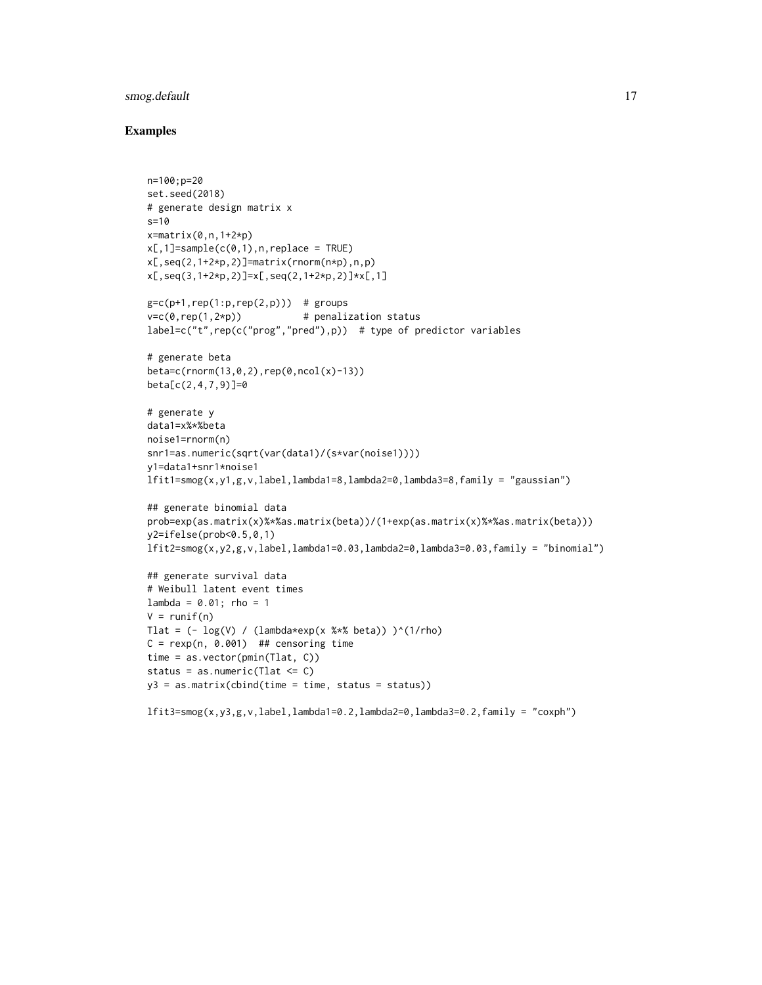# smog.default 17

```
n=100;p=20
set.seed(2018)
# generate design matrix x
s=10
x=matrix(0,n,1+2*p)x[,1]=sample(c(0,1),n,replace = TRUE)x[,seq(2,1+2*p,2)]=matrix(rnorm(n*p),n,p)x[,seq(3,1+2*p,2)]=x[,seq(2,1+2*p,2)]*x[,1]g=c(p+1, rep(1:p,rep(2,p))) # groups
v=c(\theta, rep(1,2*p)) # penalization status
label=c("t",rep(c("prog","pred"),p)) # type of predictor variables
# generate beta
beta=c(rnorm(13,0,2),rep(0,ncol(x)-13))
beta[c(2,4,7,9)]=0
# generate y
data1=x%*%beta
noise1=rnorm(n)
snr1=as.numeric(sqrt(var(data1)/(s*var(noise1))))
y1=data1+snr1*noise1
lfit1=smog(x,y1,g,v,label,lambda1=8,lambda2=0,lambda3=8,family = "gaussian")
## generate binomial data
prob=exp(as.matrix(x)%*%as.matrix(beta))/(1+exp(as.matrix(x)%*%as.matrix(beta)))
y2=ifelse(prob<0.5,0,1)
lfit2=smog(x,y2,g,v,label,lambda1=0.03,lambda2=0,lambda3=0.03,family = "binomial")
## generate survival data
# Weibull latent event times
lambda = 0.01; rho = 1
V = runif(n)Tlat = (- \log(V) / (\text{lambda*exp}(x %^* % \theta)) )^(1/rho)C = \text{resp}(n, 0.001) ## censoring time
time = as.vector(pmin(Tlat, C))
status = as.numeric(Tlat <= C)
y3 = as_matrix(cbind(time = time, status = status))
```

```
lfit3=smog(x,y3,g,v,label,lambda1=0.2,lambda2=0,lambda3=0.2,family = "coxph")
```